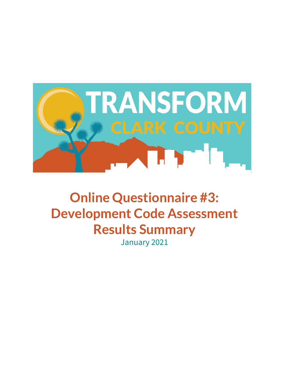

**Online Questionnaire #3: Development Code Assessment Results Summary** January 2021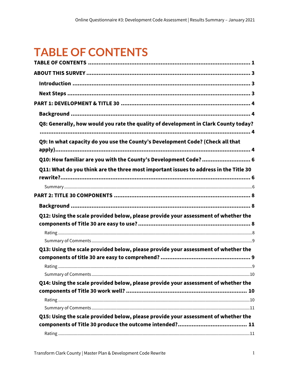## <span id="page-1-0"></span>**TABLE OF CONTENTS**

| Q8: Generally, how would you rate the quality of development in Clark County today?   |  |
|---------------------------------------------------------------------------------------|--|
|                                                                                       |  |
| Q9: In what capacity do you use the County's Development Code? (Check all that        |  |
| Q10: How familiar are you with the County's Development Code?  6                      |  |
| Q11: What do you think are the three most important issues to address in the Title 30 |  |
|                                                                                       |  |
|                                                                                       |  |
|                                                                                       |  |
|                                                                                       |  |
| Q12: Using the scale provided below, please provide your assessment of whether the    |  |
|                                                                                       |  |
|                                                                                       |  |
|                                                                                       |  |
| Q13: Using the scale provided below, please provide your assessment of whether the    |  |
|                                                                                       |  |
|                                                                                       |  |
|                                                                                       |  |
| Q14: Using the scale provided below, please provide your assessment of whether the    |  |
|                                                                                       |  |
|                                                                                       |  |
|                                                                                       |  |
| Q15: Using the scale provided below, please provide your assessment of whether the    |  |
|                                                                                       |  |
|                                                                                       |  |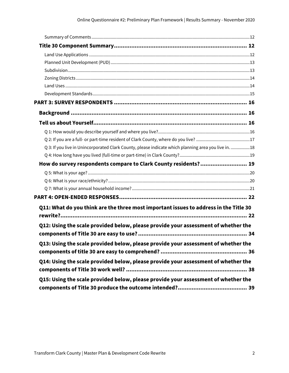| Q 3: If you live in Unincorporated Clark County, please indicate which planning area you live in. 18 |  |
|------------------------------------------------------------------------------------------------------|--|
|                                                                                                      |  |
| How do survey respondents compare to Clark County residents? 19                                      |  |
|                                                                                                      |  |
|                                                                                                      |  |
|                                                                                                      |  |
|                                                                                                      |  |
| Q11: What do you think are the three most important issues to address in the Title 30                |  |
|                                                                                                      |  |
| Q12: Using the scale provided below, please provide your assessment of whether the                   |  |
| Q13: Using the scale provided below, please provide your assessment of whether the                   |  |
| Q14: Using the scale provided below, please provide your assessment of whether the                   |  |
| Q15: Using the scale provided below, please provide your assessment of whether the                   |  |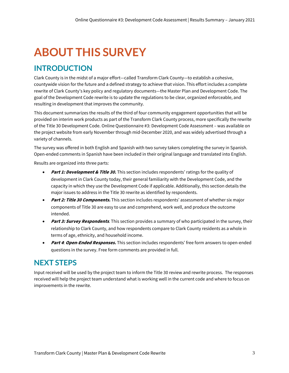# <span id="page-3-0"></span>**ABOUT THIS SURVEY**

## <span id="page-3-1"></span>**INTRODUCTION**

Clark County is in the midst of a major effort—called Transform Clark County—to establish a cohesive, countywide vision for the future and a defined strategy to achieve that vision. This effort includes a complete rewrite of Clark County's key policy and regulatory documents—the Master Plan and Development Code. The goal of the Development Code rewrite is to update the regulations to be clear, organized enforceable, and resulting in development that improves the community.

This document summarizes the results of the third of four community engagement opportunities that will be provided on interim work products as part of the Transform Clark County process, more specifically the rewrite of the Title 30 Development Code. Online Questionnaire #3: Development Code Assessment – was available on the project website from early November through mid-December 2020, and was widely advertised through a variety of channels.

The survey was offered in both English and Spanish with two survey takers completing the survey in Spanish. Open-ended comments in Spanish have been included in their original language and translated into English.

Results are organized into three parts:

- **Part 1: Development & Title 30.** This section includes respondents' ratings for the quality of development in Clark County today, their general familiarity with the Development Code, and the capacity in which they use the Development Code if applicable. Additionally, this section details the major issues to address in the Title 30 rewrite as identified by respondents.
- **Part 2: Title 30 Components.** This section includes respondents' assessment of whether six major components of Title 30 are easy to use and comprehend, work well, and produce the outcome intended.
- **Part 3: Survey Respondents**. This section provides a summary of who participated in the survey, their relationship to Clark County, and how respondents compare to Clark County residents as a whole in terms of age, ethnicity, and household income.
- **Part 4**: **Open-Ended Responses.** This section includes respondents' free form answers to open-ended questions in the survey. Free form comments are provided in full.

### <span id="page-3-2"></span>**NEXT STEPS**

Input received will be used by the project team to inform the Title 30 review and rewrite process. The responses received will help the project team understand what is working well in the current code and where to focus on improvements in the rewrite.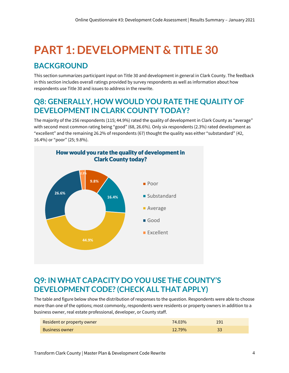# <span id="page-4-0"></span>**PART 1: DEVELOPMENT & TITLE 30**

## <span id="page-4-1"></span>**BACKGROUND**

This section summarizes participant input on Title 30 and development in general in Clark County. The feedback in this section includes overall ratings provided by survey respondents as well as information about how respondents use Title 30 and issues to address in the rewrite.

## <span id="page-4-2"></span>**Q8: GENERALLY, HOW WOULD YOU RATE THE QUALITY OF DEVELOPMENT IN CLARK COUNTY TODAY?**

The majority of the 256 respondents (115; 44.9%) rated the quality of development in Clark County as "average" with second most common rating being "good" (68, 26.6%). Only six respondents (2.3%) rated development as "excellent" and the remaining 26.2% of respondents (67) thought the quality was either "substandard" (42, 16.4%) or "poor" (25; 9.8%).



## <span id="page-4-3"></span>**Q9: IN WHAT CAPACITY DO YOU USE THE COUNTY'S DEVELOPMENT CODE? (CHECK ALL THAT APPLY)**

The table and figure below show the distribution of responses to the question. Respondents were able to choose more than one of the options; most commonly, respondents were residents or property owners in addition to a business owner, real estate professional, developer, or County staff.

| Resident or property owner | 74.03% | 191 |
|----------------------------|--------|-----|
| <b>Business owner</b>      | 12.79% |     |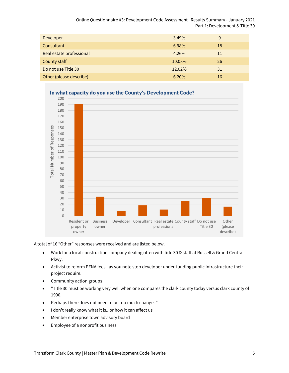Online Questionnaire #3: Development Code Assessment | Results Summary - January 2021 Part 1: Development & Title 30

| Developer                | 3.49%  | 9      |
|--------------------------|--------|--------|
| Consultant               | 6.98%  | 18     |
| Real estate professional | 4.26%  | $11\,$ |
| County staff             | 10.08% | 26     |
| Do not use Title 30      | 12.02% | 31     |
| Other (please describe)  | 6.20%  | 16     |



#### In what capacity do you use the County's Development Code?

A total of 16 "Other" responses were received and are listed below.

- Work for a local construction company dealing often with title 30 & staff at Russell & Grand Central Pkwy.
- Activist to reform PFNA fees as you note stop developer under-funding public infrastructure their project require.
- Community action groups
- "Title 30 must be working very well when one compares the clark county today versus clark county of 1990.
- Perhaps there does not need to be too much change. "
- I don't really know what it is...or how it can affect us
- Member enterprise town advisory board
- Employee of a nonprofit business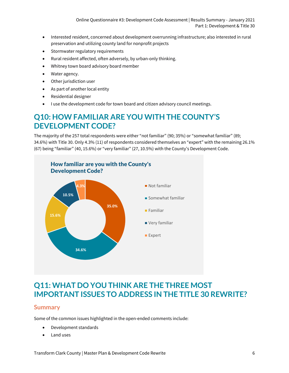Online Questionnaire #3: Development Code Assessment | Results Summary - January 2021 Part 1: Development & Title 30

- Interested resident, concerned about development overrunning infrastructure; also interested in rural preservation and utilizing county land for nonprofit projects
- Stormwater regulatory requirements
- Rural resident affected, often adversely, by urban-only thinking.
- Whitney town board advisory board member
- Water agency.
- Other jurisdiction user
- As part of another local entity
- Residential designer
- I use the development code for town board and citizen advisory council meetings.

## <span id="page-6-0"></span>**Q10: HOW FAMILIAR ARE YOU WITH THE COUNTY'S DEVELOPMENT CODE?**

The majority of the 257 total respondents were either "not familiar" (90; 35%) or "somewhat familiar" (89; 34.6%) with Title 30. Only 4.3% (11) of respondents considered themselves an "expert" with the remaining 26.1% (67) being "familiar" (40, 15.6%) or "very familiar" (27, 10.5%) with the County's Development Code.



## <span id="page-6-1"></span>**Q11: WHAT DO YOU THINK ARE THE THREE MOST IMPORTANT ISSUES TO ADDRESS IN THE TITLE 30 REWRITE?**

#### <span id="page-6-2"></span>**Summary**

Some of the common issues highlighted in the open-ended comments include:

- Development standards
- Land uses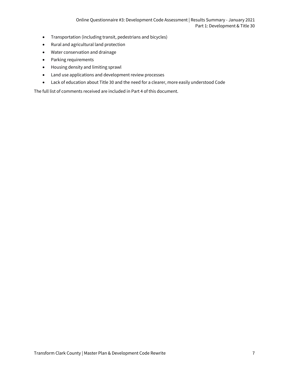- Transportation (including transit, pedestrians and bicycles)
- Rural and agricultural land protection
- Water conservation and drainage
- Parking requirements
- Housing density and limiting sprawl
- Land use applications and development review processes
- Lack of education about Title 30 and the need for a clearer, more easily understood Code

The full list of comments received are included in Part 4 of this document.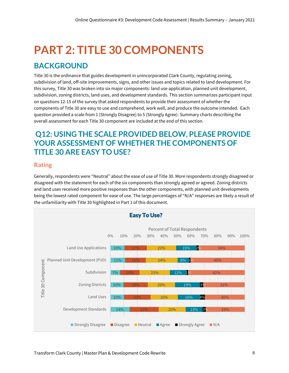# <span id="page-8-0"></span>**PART 2: TITLE 30 COMPONENTS**

## <span id="page-8-1"></span>**BACKGROUND**

Title 30 is the ordinance that guides development in unincorporated Clark County, regulating zoning, subdivision of land, off-site improvements, signs, and other issues and topics related to land development. For this survey, Title 30 was broken into six major components: land use application, planned unit development, subdivision, zoning districts, land uses, and development standards. This section summarizes participant input on questions 12-15 of the survey that asked respondents to provide their assessment of whether the components of Title 30 are easy to use and comprehend, work well, and produce the outcome intended. Each question provided a scale from 1 (Strongly Disagree) to 5 (Strongly Agree). Summary charts describing the overall assessment for each Title 30 component are included at the end of this section.

## <span id="page-8-2"></span>**Q12: USING THE SCALE PROVIDED BELOW, PLEASE PROVIDE YOUR ASSESSMENT OF WHETHER THE COMPONENTS OF TITLE 30 ARE EASY TO USE?**

#### <span id="page-8-3"></span>**Rating**

Generally, respondents were "Neutral" about the ease of use of Title 30. More respondents strongly disagreed or disagreed with the statement for each of the six components than strongly agreed or agreed. Zoning districts and land uses received more positive responses than the other components, with planned unit developments being the lowest rated component for ease of use. The large percentages of "N/A" responses are likely a result of the unfamiliarity with Title 30 highlighted in Part 1 of this document.

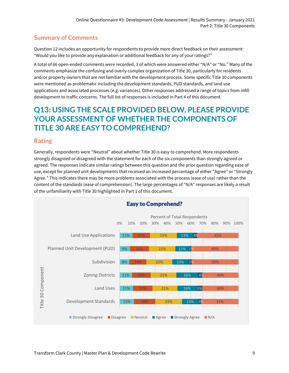<span id="page-9-0"></span>Question 12 includes an opportunity for respondents to provide more direct feedback on their assessment: "Would you like to provide any explanation or additional feedback for any of your ratings?"

A total of 66 open-ended comments were recorded, 3 of which were answered either "N/A" or "No." Many of the comments emphasize the confusing and overly complex organization of Title 30, particularly for residents and/or property owners that are not familiar with the development process. Some specific Title 30 components were mentioned as problematic including the development standards, PUD standards, and land use applications and associated processes (e.g. variances). Other responses addressed a range of topics from infill development to traffic concerns. The full list of responses is included in Part 4 of this document.

## <span id="page-9-1"></span>**Q13: USING THE SCALE PROVIDED BELOW, PLEASE PROVIDE YOUR ASSESSMENT OF WHETHER THE COMPONENTS OF TITLE 30 ARE EASY TO COMPREHEND?**

#### <span id="page-9-2"></span>**Rating**

Generally, respondents were "Neutral" about whether Title 30 is easy to comprehend. More respondents strongly disagreed or disagreed with the statement for each of the six components than strongly agreed or agreed. The responses indicate similar ratings between this question and the prior question regarding ease of use, except for planned unit developments that received an increased percentage of either "Agree" or "Strongly Agree." This indicates there may be more problems associated with the process (ease of use) rather than the content of the standards (ease of comprehension). The large percentages of "N/A" responses are likely a result of the unfamiliarity with Title 30 highlighted in Part 1 of this document.

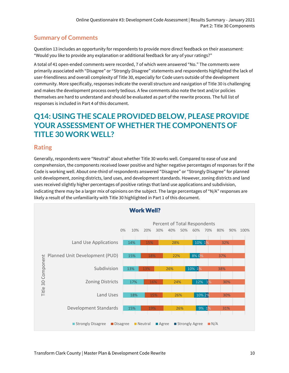<span id="page-10-0"></span>Question 13 includes an opportunity for respondents to provide more direct feedback on their assessment: "Would you like to provide any explanation or additional feedback for any of your ratings?"

A total of 41 open-ended comments were recorded, 7 of which were answered "No." The comments were primarily associated with "Disagree" or "Strongly Disagree" statements and respondents highlighted the lack of user-friendliness and overall complexity of Title 30, especially for Code users outside of the development community. More specifically, responses indicate the overall structure and navigation of Title 30 is challenging and makes the development process overly tedious. A few comments also note the text and/or policies themselves are hard to understand and should be evaluated as part of the rewrite process. The full list of responses is included in Part 4 of this document.

## <span id="page-10-1"></span>**Q14: USING THE SCALE PROVIDED BELOW, PLEASE PROVIDE YOUR ASSESSMENT OF WHETHER THE COMPONENTS OF TITLE 30 WORK WELL?**

#### <span id="page-10-2"></span>**Rating**

Generally, respondents were "Neutral" about whether Title 30 works well. Compared to ease of use and comprehension, the components received lower positive and higher negative percentages of responses for if the Code is working well. About one-third of respondents answered "Disagree" or "Strongly Disagree" for planned unit development, zoning districts, land uses, and development standards. However, zoning districts and land uses received slightly higher percentages of positive ratings that land use applications and subdivision, indicating there may be a larger mix of opinions on the subject. The large percentages of "N/A" responses are likely a result of the unfamiliarity with Title 30 highlighted in Part 1 of this document.

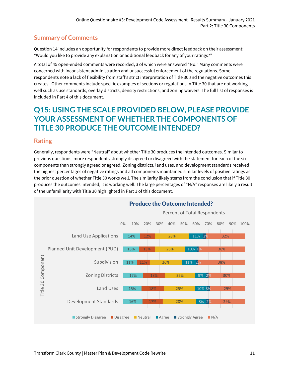<span id="page-11-0"></span>Question 14 includes an opportunity for respondents to provide more direct feedback on their assessment: "Would you like to provide any explanation or additional feedback for any of your ratings?"

A total of 45 open-ended comments were recorded, 3 of which were answered "No." Many comments were concerned with inconsistent administration and unsuccessful enforcement of the regulations. Some respondents note a lack of flexibility from staff's strict interpretation of Title 30 and the negative outcomes this creates. Other comments include specific examples of sections or regulations in Title 30 that are not working well such as use standards, overlay districts, density restrictions, and zoning waivers. The full list of responses is included in Part 4 of this document.

## <span id="page-11-1"></span>**Q15: USING THE SCALE PROVIDED BELOW, PLEASE PROVIDE YOUR ASSESSMENT OF WHETHER THE COMPONENTS OF TITLE 30 PRODUCE THE OUTCOME INTENDED?**

#### <span id="page-11-2"></span>**Rating**

Generally, respondents were "Neutral" about whether Title 30 produces the intended outcomes. Similar to previous questions, more respondents strongly disagreed or disagreed with the statement for each of the six components than strongly agreed or agreed. Zoning districts, land uses, and development standards received the highest percentages of negative ratings and all components maintained similar levels of positive ratings as the prior question of whether Title 30 works well. The similarity likely stems from the conclusion that if Title 30 produces the outcomes intended, it is working well. The large percentages of "N/A" responses are likely a result of the unfamiliarity with Title 30 highlighted in Part 1 of this document.

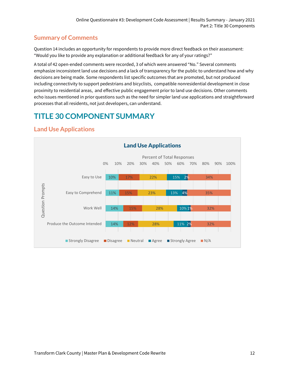<span id="page-12-0"></span>Question 14 includes an opportunity for respondents to provide more direct feedback on their assessment: "Would you like to provide any explanation or additional feedback for any of your ratings?"

A total of 42 open-ended comments were recorded, 3 of which were answered "No." Several comments emphasize inconsistent land use decisions and a lack of transparency for the public to understand how and why decisions are being made. Some respondents list specific outcomes that are promoted, but not produced including connectivity to support pedestrians and bicyclists, compatible nonresidential development in close proximity to residential areas, and effective public engagement prior to land use decisions. Other comments echo issues mentioned in prior questions such as the need for simpler land use applications and straightforward processes that all residents, not just developers, can understand.

## <span id="page-12-1"></span>**TITLE 30 COMPONENT SUMMARY**



#### <span id="page-12-2"></span>**Land Use Applications**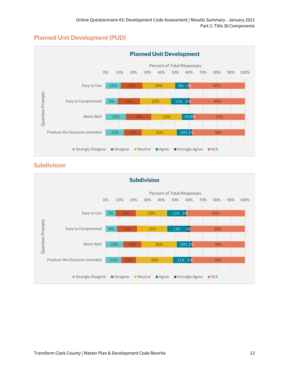### <span id="page-13-0"></span>**Planned Unit Development (PUD)**



#### <span id="page-13-1"></span>**Subdivision**

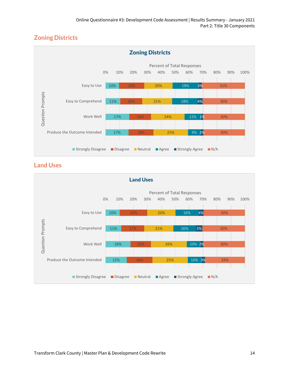### <span id="page-14-0"></span>**Zoning Districts**



#### <span id="page-14-1"></span>**Land Uses**

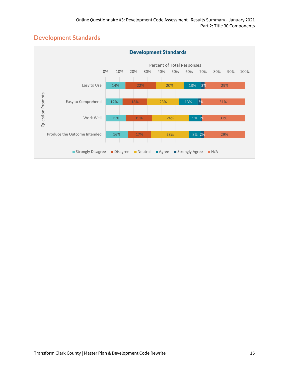### <span id="page-15-0"></span>**Development Standards**

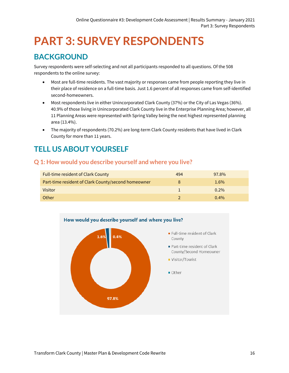## <span id="page-16-0"></span>**PART 3: SURVEY RESPONDENTS**

## <span id="page-16-1"></span>**BACKGROUND**

Survey respondents were self-selecting and not all participants responded to all questions. Of the 508 respondents to the online survey:

- Most are full-time residents. The vast majority or responses came from people reporting they live in their place of residence on a full-time basis. Just 1.6 percent of all responses came from self-identified second-homeowners.
- Most respondents live in either Unincorporated Clark County (37%) or the City of Las Vegas (36%). 40.9% of those living in Unincorporated Clark County live in the Enterprise Planning Area; however, all 11 Planning Areas were represented with Spring Valley being the next highest represented planning area (13.4%).
- The majority of respondents (70.2%) are long-term Clark County residents that have lived in Clark County for more than 11 years.

## <span id="page-16-2"></span>**TELL US ABOUT YOURSELF**

#### <span id="page-16-3"></span>**Q 1: How would you describe yourself and where you live?**

| <b>Full-time resident of Clark County</b>           | 494 | 97.8%   |
|-----------------------------------------------------|-----|---------|
| Part-time resident of Clark County/second homeowner |     | 1.6%    |
| Visitor                                             |     | $0.2\%$ |
| Other                                               |     | $0.4\%$ |

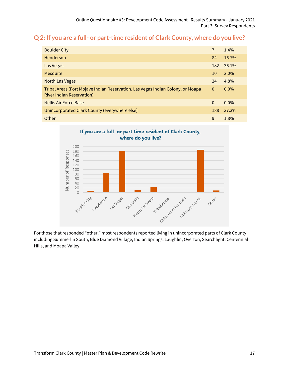#### <span id="page-17-0"></span>**Q 2: If you are a full- or part-time resident of Clark County, where do you live?**

| <b>Boulder City</b>                                                                                                 | 7        | 1.4%    |
|---------------------------------------------------------------------------------------------------------------------|----------|---------|
| Henderson                                                                                                           | 84       | 16.7%   |
| Las Vegas                                                                                                           | 182      | 36.1%   |
| <b>Mesquite</b>                                                                                                     | 10       | $2.0\%$ |
| <b>North Las Vegas</b>                                                                                              | 24       | 4.8%    |
| Tribal Areas (Fort Mojave Indian Reservation, Las Vegas Indian Colony, or Moapa<br><b>River Indian Reservation)</b> | $\Omega$ | $0.0\%$ |
| <b>Nellis Air Force Base</b>                                                                                        | $\Omega$ | $0.0\%$ |
| Unincorporated Clark County (everywhere else)                                                                       | 188      | 37.3%   |
| Other                                                                                                               | 9        | 1.8%    |



For those that responded "other," most respondents reported living in unincorporated parts of Clark County including Summerlin South, Blue Diamond Village, Indian Springs, Laughlin, Overton, Searchlight, Centennial Hills, and Moapa Valley.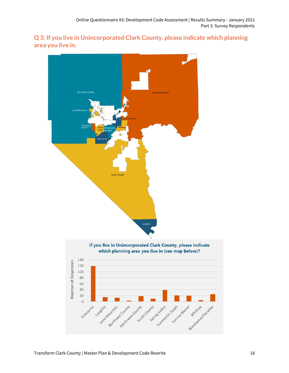<span id="page-18-0"></span>**Q 3: If you live in Unincorporated Clark County, please indicate which planning area you live in.**

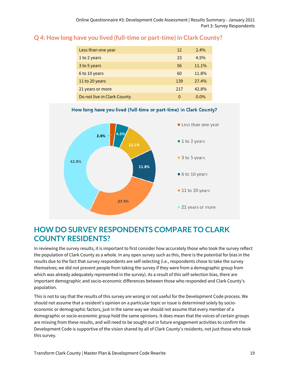| Less than one year          | 12  | $2.4\%$ |
|-----------------------------|-----|---------|
| 1 to 2 years                | 23  | $4.5\%$ |
| 3 to 5 years                | 56  | 11.1%   |
| 6 to 10 years               | 60  | 11.8%   |
| 11 to 20 years              | 139 | 27.4%   |
| 21 years or more            | 217 | 42.8%   |
| Do not live in Clark County | 0   | $0.0\%$ |

#### <span id="page-19-0"></span>**Q 4: How long have you lived (full-time or part-time) in Clark County?**



 $\blacksquare$  11 to 20 years

21 years or more

#### How long have you lived (full-time or part-time) in Clark County?

### <span id="page-19-1"></span>**HOW DO SURVEY RESPONDENTS COMPARE TO CLARK COUNTY RESIDENTS?**

27.4%

In reviewing the survey results, it is important to first consider how accurately those who took the survey reflect the population of Clark County as a whole. In any open survey such as this, there is the potential for bias in the results due to the fact that survey respondents are self-selecting (i.e., respondents chose to take the survey themselves; we did not prevent people from taking the survey if they were from a demographic group from which was already adequately represented in the survey). As a result of this self-selection bias, there are important demographic and socio-economic differences between those who responded and Clark County's population.

This is not to say that the results of this survey are wrong or not useful for the Development Code process. We should not assume that a resident's opinion on a particular topic or issue is determined solely by socioeconomic or demographic factors, just in the same way we should not assume that every member of a demographic or socio-economic group hold the same opinions. It does mean that the voices of certain groups are missing from these results, and will need to be sought out in future engagement activities to confirm the Development Code is supportive of the vision shared by all of Clark County's residents, not just those who took this survey.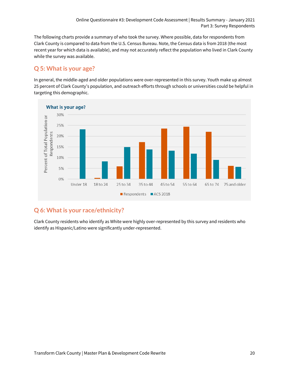The following charts provide a summary of who took the survey. Where possible, data for respondents from Clark County is compared to data from the U.S. Census Bureau. Note, the Census data is from 2018 (the most recent year for which data is available), and may not accurately reflect the population who lived in Clark County while the survey was available.

#### <span id="page-20-0"></span>**Q 5: What is your age?**

In general, the middle-aged and older populations were over-represented in this survey. Youth make up almost 25 percent of Clark County's population, and outreach efforts through schools or universities could be helpful in targeting this demographic.



### <span id="page-20-1"></span>**Q 6: What is your race/ethnicity?**

Clark County residents who identify as White were highly over-represented by this survey and residents who identify as Hispanic/Latino were significantly under-represented.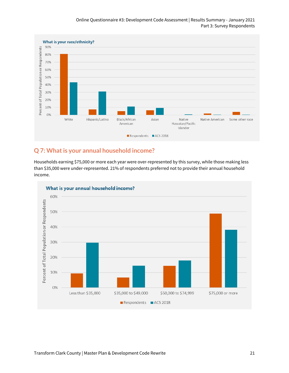#### Online Questionnaire #3: Development Code Assessment | Results Summary - January 2021 Part 3: Survey Respondents

![](_page_21_Figure_1.jpeg)

#### <span id="page-21-0"></span>**Q 7: What is your annual household income?**

Households earning \$75,000 or more each year were over-represented by this survey, while those making less than \$35,000 were under-represented. 21% of respondents preferred not to provide their annual household income.

![](_page_21_Figure_4.jpeg)

Transform Clark County | Master Plan & Development Code Rewrite 21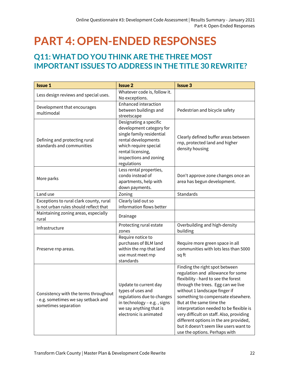## <span id="page-22-0"></span>**PART 4: OPEN-ENDED RESPONSES**

## <span id="page-22-1"></span>**Q11: WHAT DO YOU THINK ARE THE THREE MOST IMPORTANT ISSUES TO ADDRESS IN THE TITLE 30 REWRITE?**

| <b>Issue 1</b>                                                                                       | <b>Issue 2</b>                                                                                                                                                                                | <b>Issue 3</b>                                                                                                                                                                                                                                                                                                                                                                                                                                                   |
|------------------------------------------------------------------------------------------------------|-----------------------------------------------------------------------------------------------------------------------------------------------------------------------------------------------|------------------------------------------------------------------------------------------------------------------------------------------------------------------------------------------------------------------------------------------------------------------------------------------------------------------------------------------------------------------------------------------------------------------------------------------------------------------|
| Less design reviews and special uses.                                                                | Whatever code is, follow it.<br>No exceptions.                                                                                                                                                |                                                                                                                                                                                                                                                                                                                                                                                                                                                                  |
| Development that encourages<br>multimodal                                                            | Enhanced interaction<br>between buildings and<br>streetscape                                                                                                                                  | Pedestrian and bicycle safety                                                                                                                                                                                                                                                                                                                                                                                                                                    |
| Defining and protecting rural<br>standards and communities                                           | Designating a specific<br>development category for<br>single family residential<br>rental developments<br>which require special<br>rental licensing,<br>inspections and zoning<br>regulations | Clearly defined buffer areas between<br>rnp, protected land and higher<br>density housing                                                                                                                                                                                                                                                                                                                                                                        |
| More parks                                                                                           | Less rental properties,<br>condo instead of<br>apartments, help with<br>down payments.                                                                                                        | Don't approve zone changes once an<br>area has begun development.                                                                                                                                                                                                                                                                                                                                                                                                |
| Land use                                                                                             | Zoning                                                                                                                                                                                        | Standards                                                                                                                                                                                                                                                                                                                                                                                                                                                        |
| Exceptions to rural clark county, rural<br>is not urban rules should reflect that                    | Clearly laid out so<br>information flows better                                                                                                                                               |                                                                                                                                                                                                                                                                                                                                                                                                                                                                  |
| Maintaining zoning areas, especially<br>rural                                                        | Drainage                                                                                                                                                                                      |                                                                                                                                                                                                                                                                                                                                                                                                                                                                  |
| Infrastructure                                                                                       | Protecting rural estate<br>zones                                                                                                                                                              | Overbuilding and high-density<br>building                                                                                                                                                                                                                                                                                                                                                                                                                        |
| Preserve rnp areas.                                                                                  | Require notice to<br>purchases of BLM land<br>within the rnp that land<br>use must meet rnp<br>standards                                                                                      | Require more green space in all<br>communities with lots less than 5000<br>sq ft                                                                                                                                                                                                                                                                                                                                                                                 |
| Consistency with the terms throughout<br>- e.g. sometimes we say setback and<br>sometimes separation | Update to current day<br>types of uses and<br>regulations due to changes<br>in technology - e.g., signs<br>we say anything that is<br>electronic is animated                                  | Finding the right spot between<br>regulation and allowance for some<br>flexibility - hard to see the forest<br>through the trees. Egg can we live<br>without 1 landscape finger if<br>something to compensate elsewhere.<br>But at the same time the<br>interpretation needed to be flexible is<br>very difficult on staff. Also, providing<br>different options in the are provided,<br>but it doesn't seem like users want to<br>use the options. Perhaps with |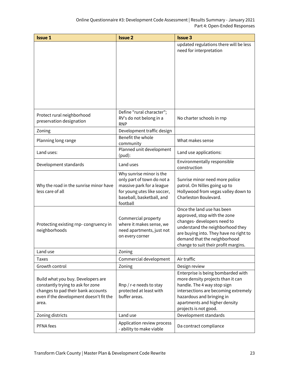| <b>Issue 1</b>                                                                | <b>Issue 2</b>                           | <b>Issue 3</b>                                                         |
|-------------------------------------------------------------------------------|------------------------------------------|------------------------------------------------------------------------|
|                                                                               |                                          | updated regulations there will be less                                 |
|                                                                               |                                          | need for interpretation                                                |
|                                                                               |                                          |                                                                        |
|                                                                               |                                          |                                                                        |
|                                                                               |                                          |                                                                        |
|                                                                               |                                          |                                                                        |
|                                                                               |                                          |                                                                        |
|                                                                               |                                          |                                                                        |
|                                                                               |                                          |                                                                        |
|                                                                               |                                          |                                                                        |
| Protect rural neighborhood                                                    | Define "rural character";                |                                                                        |
| preservation designation                                                      | RV's do not belong in a<br><b>RNP</b>    | No charter schools in rnp                                              |
| Zoning                                                                        | Development traffic design               |                                                                        |
|                                                                               | Benefit the whole                        |                                                                        |
| Planning long range                                                           | community                                | What makes sense                                                       |
| Land uses:                                                                    | Planned unit development                 | Land use applications:                                                 |
|                                                                               | $(pud)$ :                                | Environmentally responsible                                            |
| Development standards                                                         | Land uses                                | construction                                                           |
|                                                                               | Why sunrise minor is the                 |                                                                        |
|                                                                               | only part of town do not a               | Sunrise minor need more police                                         |
| Why the road in the sunrise minor have                                        | massive park for a league                | patrol. On Nilles going up to                                          |
| less care of all                                                              | for young utes like soccer,              | Hollywood from vegas valley down to<br>Charleston Boulevard.           |
|                                                                               | baseball, basketball, and<br>football    |                                                                        |
|                                                                               |                                          | Once the land use has been                                             |
|                                                                               | Commercial property                      | approved, stop with the zone                                           |
| Protecting existing rnp-congruency in                                         | where it makes sense, we                 | changes-developers need to                                             |
| neighborhoods                                                                 | need apartments, just not                | understand the neighborhood they                                       |
|                                                                               | on every corner                          | are buying into. They have no right to<br>demand that the neighborhood |
|                                                                               |                                          | change to suit their profit margins.                                   |
| Land use                                                                      | Zoning                                   |                                                                        |
| <b>Taxes</b>                                                                  | Commercial development                   | Air traffic                                                            |
| Growth control                                                                | Zoning                                   | Design review                                                          |
|                                                                               |                                          | Enterprise is being bombarded with                                     |
| Build what you buy. Developers are                                            |                                          | more density projects than it can                                      |
| constantly trying to ask for zone                                             | Rnp / r-e needs to stay                  | handle. The 4 way stop sign                                            |
| changes to pad their bank accounts<br>even if the development doesn't fit the | protected at least with<br>buffer areas. | intersections are becoming extremely<br>hazardous and bringing in      |
| area.                                                                         |                                          | apartments and higher density                                          |
|                                                                               |                                          | projects is not good.                                                  |
| Zoning districts                                                              | Land use                                 | Development standards                                                  |
|                                                                               | Application review process               |                                                                        |
| PFNA fees                                                                     | - ability to make viable                 | Da contract compliance                                                 |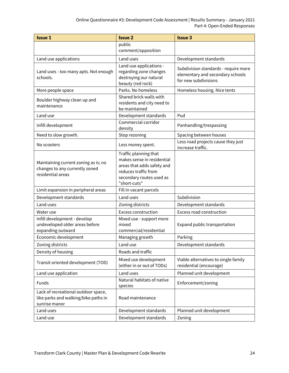| <b>Issue 1</b>                                                                               | <b>Issue 2</b>                                                                                                                                        | <b>Issue 3</b>                                                                                   |
|----------------------------------------------------------------------------------------------|-------------------------------------------------------------------------------------------------------------------------------------------------------|--------------------------------------------------------------------------------------------------|
|                                                                                              | public<br>comment/opposition                                                                                                                          |                                                                                                  |
| Land use applications                                                                        | Land uses                                                                                                                                             | Development standards                                                                            |
| Land uses - too many apts. Not enough<br>schools.                                            | Land use applications -<br>regarding zone changes<br>destroying our natural<br>beauty (red rock)                                                      | Subdivision standards - require more<br>elementary and secondary schools<br>for new subdivisions |
| More people space                                                                            | Parks. No homeless                                                                                                                                    | Homeless housing. Nice tents                                                                     |
| Boulder highway clean up and<br>maintenance                                                  | Shared brick walls with<br>residents and city need to<br>be maintained                                                                                |                                                                                                  |
| Land use                                                                                     | Development standards                                                                                                                                 | Pud                                                                                              |
| Infill development                                                                           | Commercial corridor<br>density                                                                                                                        | Panhandling/trespassing                                                                          |
| Need to slow growth.                                                                         | Stop rezoning                                                                                                                                         | Spacing between houses                                                                           |
| No scooters                                                                                  | Less money spent.                                                                                                                                     | Less road projects cause they just<br>increase traffic.                                          |
| Maintaining current zoning as is; no<br>changes to any currently zoned<br>residential areas  | Traffic planning that<br>makes sense in residential<br>areas that adds safety and<br>reduces traffic from<br>secondary routes used as<br>"short-cuts" |                                                                                                  |
| Limit expansion in peripheral areas                                                          | Fill in vacant parcels                                                                                                                                |                                                                                                  |
| Development standards                                                                        | Land uses                                                                                                                                             | Subdivision                                                                                      |
| Land uses                                                                                    | Zoning districts                                                                                                                                      | Development standards                                                                            |
| Water use                                                                                    | <b>Excess construction</b>                                                                                                                            | Excess road construction                                                                         |
| Infill development - develop<br>undeveloped older areas before<br>expanding outward          | Mixed use - support more<br>mixed<br>commercial/residential                                                                                           | Expand public transportation                                                                     |
| Economic development                                                                         | Managing growth                                                                                                                                       | Parking                                                                                          |
| Zoning districts                                                                             | Land use                                                                                                                                              | Development standards                                                                            |
| Density of housing                                                                           | Roads and traffic                                                                                                                                     |                                                                                                  |
| Transit oriented development (TOD)                                                           | Mixed use development<br>(either in or out of TODs)                                                                                                   | Viable alternatives to single family<br>residential (encourage)                                  |
| Land use application                                                                         | Land uses                                                                                                                                             | Planned unit development                                                                         |
| Funds                                                                                        | Natural habitats of native<br>species                                                                                                                 | Enforcement/zoning                                                                               |
| Lack of recreational outdoor space,<br>like parks and walking/bike paths in<br>sunrise manor | Road maintenance                                                                                                                                      |                                                                                                  |
| Land uses                                                                                    | Development standards                                                                                                                                 | Planned unit development                                                                         |
| Land use                                                                                     | Development standards                                                                                                                                 | Zoning                                                                                           |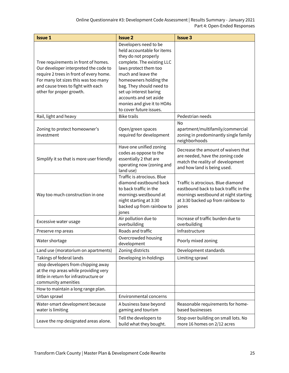| <b>Issue 1</b>                                                                                                                                                                                                                     | <b>Issue 2</b>                                                                                                                                                                                                                                                                                                              | <b>Issue 3</b>                                                                                                                                                    |
|------------------------------------------------------------------------------------------------------------------------------------------------------------------------------------------------------------------------------------|-----------------------------------------------------------------------------------------------------------------------------------------------------------------------------------------------------------------------------------------------------------------------------------------------------------------------------|-------------------------------------------------------------------------------------------------------------------------------------------------------------------|
| Tree requirements in front of homes.<br>Our developer interpreted the code to<br>require 2 trees in front of every home.<br>For many lot sizes this was too many<br>and cause trees to fight with each<br>other for proper growth. | Developers need to be<br>held accountable for items<br>they do not properly<br>complete. The existing LLC<br>laws protect them too<br>much and leave the<br>homeowners holding the<br>bag. They should need to<br>set up interest baring<br>accounts and set aside<br>monies and give it to HOAs<br>to cover future issues. |                                                                                                                                                                   |
| Rail, light and heavy                                                                                                                                                                                                              | <b>Bike trails</b>                                                                                                                                                                                                                                                                                                          | Pedestrian needs                                                                                                                                                  |
| Zoning to protect homeowner's<br>investment                                                                                                                                                                                        | Open/green spaces<br>required for development                                                                                                                                                                                                                                                                               | <b>No</b><br>apartment/multifamily/commercial<br>zoning in predominantly single family<br>neighborhoods                                                           |
| Simplify it so that is more user friendly                                                                                                                                                                                          | Have one unified zoning<br>codes as oppose to the<br>essentially 2 that are<br>operating now (zoning and<br>land use)                                                                                                                                                                                                       | Decrease the amount of waivers that<br>are needed, have the zoning code<br>match the reality of development<br>and how land is being used.                        |
| Way too much construction in one                                                                                                                                                                                                   | Traffic is atrocious. Blue<br>diamond eastbound back<br>to back traffic in the<br>mornings westbound at<br>night starting at 3:30<br>backed up from rainbow to<br>jones                                                                                                                                                     | Traffic is atrocious. Blue diamond<br>eastbound back to back traffic in the<br>mornings westbound at night starting<br>at 3:30 backed up from rainbow to<br>jones |
| Excessive water usage                                                                                                                                                                                                              | Air pollution due to<br>overbuilding                                                                                                                                                                                                                                                                                        | Increase of traffic burden due to<br>overbuilding                                                                                                                 |
| Preserve rnp areas                                                                                                                                                                                                                 | Roads and traffic                                                                                                                                                                                                                                                                                                           | Infrastructure                                                                                                                                                    |
| Water shortage                                                                                                                                                                                                                     | Overcrowded housing<br>development                                                                                                                                                                                                                                                                                          | Poorly mixed zoning                                                                                                                                               |
| Land use (moratorium on apartments)                                                                                                                                                                                                | Zoning districts                                                                                                                                                                                                                                                                                                            | Development standards                                                                                                                                             |
| Takings of federal lands                                                                                                                                                                                                           | Developing in-holdings                                                                                                                                                                                                                                                                                                      | Limiting sprawl                                                                                                                                                   |
| stop developers from chipping away<br>at the rnp areas while providing very<br>little in return for infrastructure or<br>community amenities                                                                                       |                                                                                                                                                                                                                                                                                                                             |                                                                                                                                                                   |
| How to maintain a long range plan.                                                                                                                                                                                                 |                                                                                                                                                                                                                                                                                                                             |                                                                                                                                                                   |
| Urban sprawl                                                                                                                                                                                                                       | Environmental concerns                                                                                                                                                                                                                                                                                                      |                                                                                                                                                                   |
| Water-smart development because<br>water is limiting                                                                                                                                                                               | A business base beyond<br>gaming and tourism                                                                                                                                                                                                                                                                                | Reasonable requirements for home-<br>based businesses                                                                                                             |
| Leave the rnp designated areas alone.                                                                                                                                                                                              | Tell the developers to<br>build what they bought.                                                                                                                                                                                                                                                                           | Stop over building on small lots. No<br>more 16 homes on 2/12 acres                                                                                               |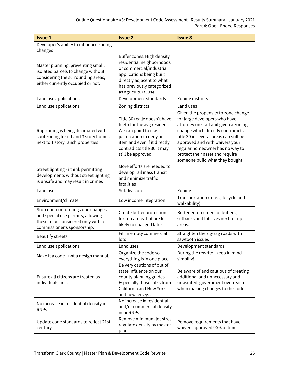| <b>Issue 1</b>                                                                                                                                      | <b>Issue 2</b>                                                                                                                                                                                        | <b>Issue 3</b>                                                                                                                                                                                                                                                                                                                        |
|-----------------------------------------------------------------------------------------------------------------------------------------------------|-------------------------------------------------------------------------------------------------------------------------------------------------------------------------------------------------------|---------------------------------------------------------------------------------------------------------------------------------------------------------------------------------------------------------------------------------------------------------------------------------------------------------------------------------------|
| Developer's ability to influence zoning<br>changes                                                                                                  |                                                                                                                                                                                                       |                                                                                                                                                                                                                                                                                                                                       |
| Master planning, preventing small,<br>isolated parcels to change without<br>considering the surrounding areas,<br>either currently occupied or not. | Buffer zones. High density<br>residential neighborhoods<br>or commercial/industrial<br>applications being built<br>directly adjacent to what<br>has previously categorized<br>as agricultural use.    |                                                                                                                                                                                                                                                                                                                                       |
| Land use applications                                                                                                                               | Development standards                                                                                                                                                                                 | Zoning districts                                                                                                                                                                                                                                                                                                                      |
| Land use applications                                                                                                                               | Zoning districts                                                                                                                                                                                      | Land uses                                                                                                                                                                                                                                                                                                                             |
| Rnp zoning is being decimated with<br>spot zoning for r-1 and 3 story homes<br>next to 1 story ranch properties                                     | Title 30 really doesn't have<br>teeth for the avg resident.<br>We can point to it as<br>justification to deny an<br>item and even if it directly<br>contradicts title 30 it may<br>still be approved. | Given the propensity to zone change<br>for large developers who have<br>attorney on staff and given a zoning<br>change which directly contradicts<br>title 30 in several areas can still be<br>approved and with waivers your<br>regular homeowner has no way to<br>protect their asset and require<br>someone build what they bought |
| Street lighting - i think permitting<br>developments without street lighting<br>is unsafe and may result in crimes                                  | More efforts are needed to<br>develop rail mass transit<br>and minimize traffic<br>fatalities                                                                                                         |                                                                                                                                                                                                                                                                                                                                       |
| Land use                                                                                                                                            | Subdivision                                                                                                                                                                                           | Zoning                                                                                                                                                                                                                                                                                                                                |
| Environment/climate                                                                                                                                 | Low income integration                                                                                                                                                                                | Transportation (mass, bicycle and<br>walkability)                                                                                                                                                                                                                                                                                     |
| Stop non-conforming zone changes<br>and special use permits, allowing<br>these to be considered only with a<br>commissioner's sponsorship.          | Create better protections<br>for rnp areas that are less<br>likely to changed later.                                                                                                                  | Better enforcement of buffers,<br>setbacks and lot sizes next to rnp<br>areas.                                                                                                                                                                                                                                                        |
| <b>Beautify streets</b>                                                                                                                             | Fill in empty commercial<br>lots                                                                                                                                                                      | Straighten the zig-zag roads with<br>sawtooth issues                                                                                                                                                                                                                                                                                  |
| Land use applications                                                                                                                               | Land uses                                                                                                                                                                                             | Development standards                                                                                                                                                                                                                                                                                                                 |
| Make it a code - not a design manual.                                                                                                               | Organize the code so<br>everything is in one place.                                                                                                                                                   | During the rewrite - keep in mind<br>simplify!                                                                                                                                                                                                                                                                                        |
| Ensure all citizens are treated as<br>individuals first.                                                                                            | Be very cautions of out of<br>state influence on our<br>county planning guides.<br>Especially those folks from<br>California and New York<br>and new jersey                                           | Be aware of and cautious of creating<br>additional and unnecessary and<br>unwanted government overreach<br>when making changes to the code.                                                                                                                                                                                           |
| No increase in residential density in<br><b>RNPs</b>                                                                                                | No increase in residential<br>and/or commercial density<br>near RNPs                                                                                                                                  |                                                                                                                                                                                                                                                                                                                                       |
| Update code standards to reflect 21st<br>century                                                                                                    | Remove minimum lot sizes<br>regulate density by master<br>plan                                                                                                                                        | Remove requirements that have<br>waivers approved 90% of time                                                                                                                                                                                                                                                                         |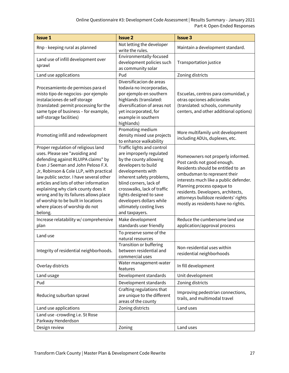| <b>Issue 1</b>                                                                                                                                                                                                                                                                                                                                                                                                                                          | <b>Issue 2</b>                                                                                                                                                                                                                                                                                                          | <b>Issue 3</b>                                                                                                                                                                                                                                                                                                                      |
|---------------------------------------------------------------------------------------------------------------------------------------------------------------------------------------------------------------------------------------------------------------------------------------------------------------------------------------------------------------------------------------------------------------------------------------------------------|-------------------------------------------------------------------------------------------------------------------------------------------------------------------------------------------------------------------------------------------------------------------------------------------------------------------------|-------------------------------------------------------------------------------------------------------------------------------------------------------------------------------------------------------------------------------------------------------------------------------------------------------------------------------------|
| Rnp - keeping rural as planned                                                                                                                                                                                                                                                                                                                                                                                                                          | Not letting the developer<br>write the rules.                                                                                                                                                                                                                                                                           | Maintain a development standard.                                                                                                                                                                                                                                                                                                    |
| Land use of infill development over<br>sprawl                                                                                                                                                                                                                                                                                                                                                                                                           | Environmentally-focused<br>development policies such<br>as community solar                                                                                                                                                                                                                                              | Transportation justice                                                                                                                                                                                                                                                                                                              |
| Land use applications                                                                                                                                                                                                                                                                                                                                                                                                                                   | Pud                                                                                                                                                                                                                                                                                                                     | Zoning districts                                                                                                                                                                                                                                                                                                                    |
| Procesamiento de permisos para el<br>misto tipo de negocios- por ejemplo<br>instalaciones de self storage<br>(translated: permit processing for the<br>same type of business - for example,<br>self-storage facilities)                                                                                                                                                                                                                                 | Diversificacion de areas<br>todavia no incorporadas,<br>por ejemplo en southern<br>highlands (translated:<br>diversification of areas not<br>yet incorporated, for<br>example in southern<br>highlands)                                                                                                                 | Escuelas, centros para comunidad, y<br>otras opciones adicionales<br>(translated: schools, community<br>centers, and other additional options)                                                                                                                                                                                      |
| Promoting infill and redevelopment                                                                                                                                                                                                                                                                                                                                                                                                                      | Promoting medium<br>density mixed use projects<br>to enhance walkability                                                                                                                                                                                                                                                | More multifamily unit development<br>including ADUs, duplexes, etc.                                                                                                                                                                                                                                                                 |
| Proper regulation of religious land<br>uses. Please see "avoiding and<br>defending against RLUIPA claims" by<br>Evan J Seeman and John Peloso F.X.<br>Jr, Robinson & Cole LLP, with practical<br>law public sector. I have several other<br>articles and lots of other information<br>explaining why clark county does it<br>wrong and by its failures allows place<br>of worship to be built in locations<br>where places of worship do not<br>belong. | Traffic lights and control<br>are improperly regulated<br>by the county allowing<br>developers to build<br>developments with<br>inherent safety problems,<br>blind corners, lack of<br>crosswalks, lack of traffic<br>lights designed to save<br>developers dollars while<br>ultimately costing lives<br>and taxpayers. | Homeowners not properly informed.<br>Post cards not good enough.<br>Residents should be entitled to an<br>ombudsman to represent their<br>interests much like a public defender.<br>Planning process opaque to<br>residents. Developers, architects,<br>attorneys bulldoze residents' rights<br>mostly as residents have no rights. |
| Increase relatability w/ comprehensive<br>plan                                                                                                                                                                                                                                                                                                                                                                                                          | Make development<br>standards user friendly                                                                                                                                                                                                                                                                             | Reduce the cumbersome land use<br>application/approval process                                                                                                                                                                                                                                                                      |
| Land use                                                                                                                                                                                                                                                                                                                                                                                                                                                | To preserve some of the<br>natural resources                                                                                                                                                                                                                                                                            |                                                                                                                                                                                                                                                                                                                                     |
| Integrity of residential neighborhoods.                                                                                                                                                                                                                                                                                                                                                                                                                 | Transition or buffering<br>between residential and<br>commercial uses                                                                                                                                                                                                                                                   | Non-residential uses within<br>residential neighborhoods                                                                                                                                                                                                                                                                            |
| Overlay districts                                                                                                                                                                                                                                                                                                                                                                                                                                       | Water management-water<br>features                                                                                                                                                                                                                                                                                      | In fill development                                                                                                                                                                                                                                                                                                                 |
| Land usage                                                                                                                                                                                                                                                                                                                                                                                                                                              | Development standards                                                                                                                                                                                                                                                                                                   | Unit development                                                                                                                                                                                                                                                                                                                    |
| Pud                                                                                                                                                                                                                                                                                                                                                                                                                                                     | Development standards                                                                                                                                                                                                                                                                                                   | Zoning districts                                                                                                                                                                                                                                                                                                                    |
| Reducing suburban sprawl                                                                                                                                                                                                                                                                                                                                                                                                                                | Crafting regulations that<br>are unique to the different<br>areas of the county                                                                                                                                                                                                                                         | Improving pedestrian connections,<br>trails, and multimodal travel                                                                                                                                                                                                                                                                  |
| Land use applications                                                                                                                                                                                                                                                                                                                                                                                                                                   | Zoning districts                                                                                                                                                                                                                                                                                                        | Land uses                                                                                                                                                                                                                                                                                                                           |
| Land use -crowding i.e. St Rose<br>Parkway Henderdson                                                                                                                                                                                                                                                                                                                                                                                                   |                                                                                                                                                                                                                                                                                                                         |                                                                                                                                                                                                                                                                                                                                     |
| Design review                                                                                                                                                                                                                                                                                                                                                                                                                                           | Zoning                                                                                                                                                                                                                                                                                                                  | Land uses                                                                                                                                                                                                                                                                                                                           |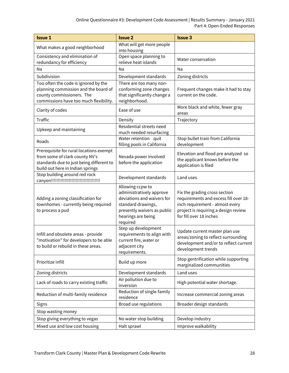| <b>Issue 1</b>                                                                                                                                            | <b>Issue 2</b>                                                                                                                                                    | <b>Issue 3</b>                                                                                                                                                               |
|-----------------------------------------------------------------------------------------------------------------------------------------------------------|-------------------------------------------------------------------------------------------------------------------------------------------------------------------|------------------------------------------------------------------------------------------------------------------------------------------------------------------------------|
| What makes a good neighborhood                                                                                                                            | What will get more people<br>into housing                                                                                                                         |                                                                                                                                                                              |
| Consistency and elimination of<br>redundancy for efficiency                                                                                               | Open space planning to<br>relieve heat islands                                                                                                                    | Water conservation                                                                                                                                                           |
| Na                                                                                                                                                        | Na                                                                                                                                                                | Na                                                                                                                                                                           |
| Subdivision                                                                                                                                               | Development standards                                                                                                                                             | Zoning districts                                                                                                                                                             |
| Too often the code is ignored by the<br>planning commission and the board of<br>county commissioners. The<br>commissions have too much flexibility.       | There are too many non-<br>conforming zone changes<br>that significantly change a<br>neighborhood.                                                                | Frequent changes make it had to stay<br>current on the code.                                                                                                                 |
| Clarity of codes                                                                                                                                          | Ease of use                                                                                                                                                       | More black and white, fewer gray<br>areas                                                                                                                                    |
| <b>Traffic</b>                                                                                                                                            | Density                                                                                                                                                           | Trajectory                                                                                                                                                                   |
| Upkeep and maintaining                                                                                                                                    | Residential streets need<br>much needed resurfacing                                                                                                               |                                                                                                                                                                              |
| Roads                                                                                                                                                     | Water retention quit<br>filling pools in California                                                                                                               | Stop bullet train from California<br>development                                                                                                                             |
| Prerequisite for rural locations exempt<br>from some of clark county NV's<br>standards due to just being different to<br>build out here in Indian springs | Nevada power involved<br>before the application                                                                                                                   | Elevation and flood pre analyzed so<br>the applicant knows before the<br>application is filed                                                                                |
| Stop building around red rock                                                                                                                             | Development standards                                                                                                                                             | Land uses                                                                                                                                                                    |
| Adding a zoning classification for<br>townhomes - currently being required<br>to process a pud                                                            | Allowing ccpw to<br>administratively approve<br>deviations and waivers for<br>standard drawings,<br>presently waivers as public<br>hearings are being<br>required | Fix the grading cross section<br>requirements and excess fill over 18-<br>inch requirement - almost every<br>project is requiring a design review<br>for fill over 18 inches |
| Infill and obsolete areas - provide<br>"motivation" for developers to be able<br>to build or rebuild in these areas.                                      | Step up development<br>requirements to align with<br>current fire, water or<br>adjacent city<br>requirements.                                                     | Update current master plan use<br>areas/zoning to reflect surrounding<br>development and/or to reflect current<br>development trends                                         |
| Prioritize infill                                                                                                                                         | Build up more                                                                                                                                                     | Stop gentrification while supporting<br>marginalized communities                                                                                                             |
| Zoning districts                                                                                                                                          | Development standards                                                                                                                                             | Land uses                                                                                                                                                                    |
| Lack of roads to carry existing traffic                                                                                                                   | Air pollution due to<br>inversion                                                                                                                                 | High potential water shortage.                                                                                                                                               |
| Reduction of multi-family residence                                                                                                                       | Reduction of single-family<br>residence                                                                                                                           | Increase commercial zoning areas                                                                                                                                             |
| Signs                                                                                                                                                     | Broad use regulations                                                                                                                                             | Broader design standards                                                                                                                                                     |
| Stop wasting money                                                                                                                                        |                                                                                                                                                                   |                                                                                                                                                                              |
| Stop giving everything to vegas                                                                                                                           | No water stop building                                                                                                                                            | Develop industry                                                                                                                                                             |
| Mixed use and low cost housing                                                                                                                            | Halt sprawl                                                                                                                                                       | Improve walkability                                                                                                                                                          |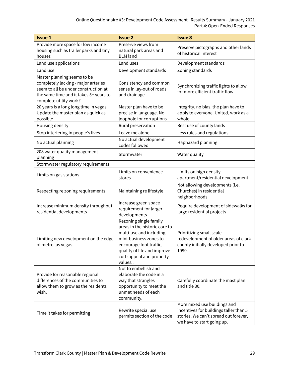| <b>Issue 1</b>                                                                                                                                                                 | <b>Issue 2</b>                                                                                                                                                                                               | <b>Issue 3</b>                                                                                                                                |
|--------------------------------------------------------------------------------------------------------------------------------------------------------------------------------|--------------------------------------------------------------------------------------------------------------------------------------------------------------------------------------------------------------|-----------------------------------------------------------------------------------------------------------------------------------------------|
| Provide more space for low income<br>housing such as trailer parks and tiny<br>houses                                                                                          | Preserve views from<br>natural park areas and<br><b>BLM</b> land                                                                                                                                             | Preserve pictographs and other lands<br>of historical interest                                                                                |
| Land use applications                                                                                                                                                          | Land uses                                                                                                                                                                                                    | Development standards                                                                                                                         |
| Land use                                                                                                                                                                       | Development standards                                                                                                                                                                                        | Zoning standards                                                                                                                              |
| Master planning seems to be<br>completely lacking - major arteries<br>seem to all be under construction at<br>the same time and it takes 5+ years to<br>complete utility work? | Consistency and common<br>sense in lay-out of roads<br>and drainage                                                                                                                                          | Synchronizing traffic lights to allow<br>for more efficient traffic flow                                                                      |
| 20 years is a long long time in vegas.<br>Update the master plan as quick as<br>possible                                                                                       | Master plan have to be<br>precise in language. No<br>loophole for corruptions                                                                                                                                | Integrity, no bias, the plan have to<br>apply to everyone. United, work as a<br>whole                                                         |
| Housing density                                                                                                                                                                | Rural preservation                                                                                                                                                                                           | Best use of county lands                                                                                                                      |
| Stop interfering in people's lives                                                                                                                                             | Leave me alone                                                                                                                                                                                               | Less rules and regulations                                                                                                                    |
| No actual planning                                                                                                                                                             | No actual development<br>codes followed                                                                                                                                                                      | Haphazard planning                                                                                                                            |
| 208 water quality management<br>planning                                                                                                                                       | Stormwater                                                                                                                                                                                                   | Water quality                                                                                                                                 |
| Stormwater regulatory requirements                                                                                                                                             |                                                                                                                                                                                                              |                                                                                                                                               |
| Limits on gas stations                                                                                                                                                         | Limits on convenience<br>stores                                                                                                                                                                              | Limits on high density<br>apartment/residential development                                                                                   |
| Respecting re zoning requirements                                                                                                                                              | Maintaining re lifestyle                                                                                                                                                                                     | Not allowing developments (i.e.<br>Churches) in residential<br>neighborhoods                                                                  |
| Increase minimum density throughout<br>residential developments                                                                                                                | Increase green space<br>requirement for larger<br>developments                                                                                                                                               | Require development of sidewalks for<br>large residential projects                                                                            |
| Limiting new development on the edge<br>of metro las vegas.                                                                                                                    | Rezoning single family<br>areas in the historic core to<br>multi-use and including<br>mini-business zones to<br>encourage foot traffic,<br>quality of life and improve<br>curb appeal and property<br>values | Prioritizing small scale<br>redevelopment of older areas of clark<br>county initially developed prior to<br>1990.                             |
| Provide for reasonable regional<br>differences of the communities to<br>allow them to grow as the residents<br>wish.                                                           | Not to embellish and<br>elaborate the code in a<br>way that strangles<br>opportunity to meet the<br>unmet needs of each<br>community.                                                                        | Carefully coordinate the mast plan<br>and title 30.                                                                                           |
| Time it takes for permitting                                                                                                                                                   | Rewrite special use<br>permits section of the code                                                                                                                                                           | More mixed use buildings and<br>incentives for buildings taller than 5<br>stories. We can't spread out forever,<br>we have to start going up. |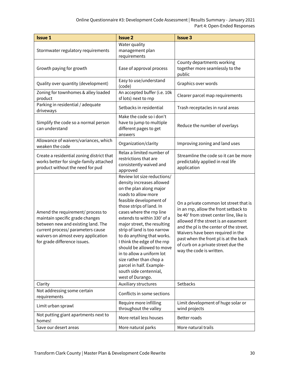| <b>Issue 1</b>                                                                                                                                                                                                         | <b>Issue 2</b>                                                                                                                                                                                                                                                                                                                                                                                                                                                                                                         | <b>Issue 3</b>                                                                                                                                                                                                                                                                                                                                                 |
|------------------------------------------------------------------------------------------------------------------------------------------------------------------------------------------------------------------------|------------------------------------------------------------------------------------------------------------------------------------------------------------------------------------------------------------------------------------------------------------------------------------------------------------------------------------------------------------------------------------------------------------------------------------------------------------------------------------------------------------------------|----------------------------------------------------------------------------------------------------------------------------------------------------------------------------------------------------------------------------------------------------------------------------------------------------------------------------------------------------------------|
| Stormwater regulatory requirements                                                                                                                                                                                     | Water quality<br>management plan<br>requirements                                                                                                                                                                                                                                                                                                                                                                                                                                                                       |                                                                                                                                                                                                                                                                                                                                                                |
| Growth paying for growth                                                                                                                                                                                               | Ease of approval process                                                                                                                                                                                                                                                                                                                                                                                                                                                                                               | County departments working<br>together more seamlessly to the<br>public                                                                                                                                                                                                                                                                                        |
| Quality over quantity (development)                                                                                                                                                                                    | Easy to use/understand<br>(code)                                                                                                                                                                                                                                                                                                                                                                                                                                                                                       | Graphics over words                                                                                                                                                                                                                                                                                                                                            |
| Zoning for townhomes & alley loaded<br>product                                                                                                                                                                         | An accepted buffer (i.e. 10k<br>sf lots) next to rnp                                                                                                                                                                                                                                                                                                                                                                                                                                                                   | Clearer parcel map requirements                                                                                                                                                                                                                                                                                                                                |
| Parking in residential / adequate<br>driveways                                                                                                                                                                         | Setbacks in residential                                                                                                                                                                                                                                                                                                                                                                                                                                                                                                | Trash receptacles in rural areas                                                                                                                                                                                                                                                                                                                               |
| Simplify the code so a normal person<br>can understand                                                                                                                                                                 | Make the code so i don't<br>have to jump to multiple<br>different pages to get<br>answers                                                                                                                                                                                                                                                                                                                                                                                                                              | Reduce the number of overlays                                                                                                                                                                                                                                                                                                                                  |
| Allowance of waivers/variances, which<br>weaken the code                                                                                                                                                               | Organization/clarity                                                                                                                                                                                                                                                                                                                                                                                                                                                                                                   | Improving zoning and land uses                                                                                                                                                                                                                                                                                                                                 |
| Create a residential zoning district that<br>works better for single-family attached<br>product without the need for pud                                                                                               | Relax a limited number of<br>restrictions that are<br>consistently waived and<br>approved                                                                                                                                                                                                                                                                                                                                                                                                                              | Streamline the code so it can be more<br>predictably applied in real life<br>application                                                                                                                                                                                                                                                                       |
| Amend the requirement/ process to<br>maintain specific grade changes<br>between new and existing land. The<br>current process/ parameters cause<br>waivers on almost every application<br>for grade difference issues. | Review lot size reductions/<br>density increases allowed<br>on the plan along major<br>roads to allow more<br>feasible development of<br>those strips of land. In<br>cases where the rnp line<br>extends to within 330' of a<br>major street, the resulting<br>strip of land is too narrow<br>to do anything that works.<br>I think the edge of the rnp<br>should be allowed to move<br>in to allow a uniform lot<br>size rather than chop a<br>parcel in half. Example-<br>south side centennial,<br>west of Durango. | On a private common lot street that is<br>in an rnp, allow the front setback to<br>be 40' from street center line, like is<br>allowed if the street is an easement<br>and the pl is the center of the street.<br>Waivers have been required in the<br>past when the front pl is at the back<br>of curb on a private street due the<br>way the code is written. |
| Clarity                                                                                                                                                                                                                | Auxiliary structures                                                                                                                                                                                                                                                                                                                                                                                                                                                                                                   | Setbacks                                                                                                                                                                                                                                                                                                                                                       |
| Not addressing some certain<br>requirements                                                                                                                                                                            | Conflicts in some sections                                                                                                                                                                                                                                                                                                                                                                                                                                                                                             |                                                                                                                                                                                                                                                                                                                                                                |
| Limit urban sprawl                                                                                                                                                                                                     | Require more infilling<br>throughout the valley                                                                                                                                                                                                                                                                                                                                                                                                                                                                        | Limit development of huge solar or<br>wind projects                                                                                                                                                                                                                                                                                                            |
| Not putting giant apartments next to<br>homes!                                                                                                                                                                         | More retail less houses                                                                                                                                                                                                                                                                                                                                                                                                                                                                                                | Better roads                                                                                                                                                                                                                                                                                                                                                   |
| Save our desert areas                                                                                                                                                                                                  | More natural parks                                                                                                                                                                                                                                                                                                                                                                                                                                                                                                     | More natural trails                                                                                                                                                                                                                                                                                                                                            |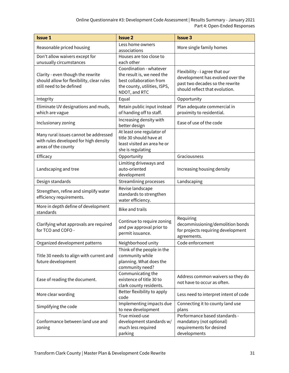| <b>Issue 1</b>                                                                                             | <b>Issue 2</b>                                                                                                                    | <b>Issue 3</b>                                                                                                                          |
|------------------------------------------------------------------------------------------------------------|-----------------------------------------------------------------------------------------------------------------------------------|-----------------------------------------------------------------------------------------------------------------------------------------|
| Reasonable priced housing                                                                                  | Less home owners<br>associations                                                                                                  | More single family homes                                                                                                                |
| Don't allow waivers except for<br>unusually circumstances                                                  | Houses are too close to<br>each other                                                                                             |                                                                                                                                         |
| Clarity - even though the rewrite<br>should allow for flexibility, clear rules<br>still need to be defined | Coordination - whatever<br>the result is, we need the<br>best collaboration from<br>the county, utilities, ISPS,<br>NDOT, and RTC | Flexibility - i agree that our<br>development has evolved over the<br>past two decades so the rewrite<br>should reflect that evolution. |
| Integrity                                                                                                  | Equal                                                                                                                             | Opportunity                                                                                                                             |
| Eliminate UV designations and muds,<br>which are vague                                                     | Retain public input instead<br>of handing off to staff.                                                                           | Plan adequate commercial in<br>proximity to residential.                                                                                |
| Inclusionary zoning                                                                                        | Increasing density with<br>better design                                                                                          | Ease of use of the code                                                                                                                 |
| Many rural issues cannot be addressed<br>with rules developed for high density<br>areas of the county      | At least one regulator of<br>title 30 should have at<br>least visited an area he or<br>she is regulating                          |                                                                                                                                         |
| Efficacy                                                                                                   | Opportunity                                                                                                                       | Graciousness                                                                                                                            |
| Landscaping and tree                                                                                       | Limiting driveways and<br>auto-oriented<br>development                                                                            | Increasing housing density                                                                                                              |
| Design standards                                                                                           | Streamlining processes                                                                                                            | Landscaping                                                                                                                             |
| Strengthen, refine and simplify water<br>efficiency requirements.                                          | Revise landscape<br>standards to strengthen<br>water efficiency.                                                                  |                                                                                                                                         |
| More in depth define of development<br>standards                                                           | <b>Bike and trails</b>                                                                                                            |                                                                                                                                         |
| Clarifying what approvals are required<br>for TCO and COFO -                                               | Continue to require zoning<br>and pw approval prior to<br>permit issuance.                                                        | Requiring<br>decommissioning/demolition bonds<br>for projects requiring development<br>agreements.                                      |
| Organized development patterns                                                                             | Neighborhood unity                                                                                                                | Code enforcement                                                                                                                        |
| Title 30 needs to align with current and<br>future development                                             | Think of the people in the<br>community while<br>planning. What does the<br>community need?                                       |                                                                                                                                         |
| Ease of reading the document.                                                                              | Communicating the<br>existence of title 30 to<br>clark county residents.                                                          | Address common waivers so they do<br>not have to occur as often.                                                                        |
| More clear wording                                                                                         | Better flexibility to apply<br>code                                                                                               | Less need to interpret intent of code                                                                                                   |
| Simplifying the code                                                                                       | Implementing impacts due<br>to new development                                                                                    | Connecting it to county land use<br>plans                                                                                               |
| Conformance between land use and<br>zoning                                                                 | True mixed-use<br>development standards w/<br>much less required<br>parking                                                       | Performance based standards -<br>mandatory (not optional)<br>requirements for desired<br>developments                                   |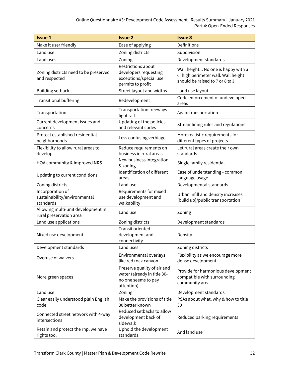| <b>Issue 1</b>                                                | <b>Issue 2</b>                                                                                  | <b>Issue 3</b>                                                                                               |
|---------------------------------------------------------------|-------------------------------------------------------------------------------------------------|--------------------------------------------------------------------------------------------------------------|
| Make it user friendly                                         | Ease of applying                                                                                | Definitions                                                                                                  |
| Land use                                                      | Zoning districts                                                                                | Subdivision                                                                                                  |
| Land uses                                                     | Zoning                                                                                          | Development standards                                                                                        |
| Zoning districts need to be preserved<br>and respected        | Restrictions about<br>developers requesting<br>exceptions/special use<br>permits to profit      | Wall height No one is happy with a<br>6' high perimeter wall. Wall height<br>should be raised to 7 or 8 tall |
| <b>Building setback</b>                                       | Street layout and widths                                                                        | Land use layout                                                                                              |
| <b>Transitional buffering</b>                                 | Redevelopment                                                                                   | Code enforcement of undeveloped<br>areas                                                                     |
| Transportation                                                | Transportation freeways<br>light rail                                                           | Again transportation                                                                                         |
| Current development issues and<br>concerns                    | Updating of the policies<br>and relevant codes                                                  | Streamlining rules and regulations                                                                           |
| Protect established residential<br>neighborhoods              | Less confusing verbiage                                                                         | More realistic requirements for<br>different types of projects                                               |
| Flexibility to allow rural areas to<br>develop.               | Reduce requirements on<br>business in rural areas                                               | Let rural areas create their own<br>standards                                                                |
| HOA community & improved NRS                                  | New business integration<br>& zoning                                                            | Single family residential                                                                                    |
| Updating to current conditions                                | Identification of different<br>areas                                                            | Ease of understanding - common<br>language usage                                                             |
| Zoning districts                                              | Land use                                                                                        | Developmental standards                                                                                      |
| Incorporation of<br>sustainability/environmental<br>standards | Requirements for mixed<br>use development and<br>walkability                                    | Urban infill and density increases<br>(build up)/public transportation                                       |
| Allowing multi-unit development in<br>rural preservation area | Land use                                                                                        | Zoning                                                                                                       |
| Land use applications                                         | Zoning districts                                                                                | Development standards                                                                                        |
| Mixed use development                                         | Transit oriented<br>development and<br>connectivity                                             | Density                                                                                                      |
| Development standards                                         | Land uses                                                                                       | Zoning districts                                                                                             |
| Overuse of waivers                                            | Environmental overlays<br>like red rock canyon                                                  | Flexibility as we encourage more<br>dense development                                                        |
| More green spaces                                             | Preserve quality of air and<br>water (already in title 30-<br>no one seems to pay<br>attention) | Provide for harmonious development<br>compatible with surrounding<br>community area                          |
| Land use                                                      | Zoning                                                                                          | Development standards                                                                                        |
| Clear easily understood plain English<br>code                 | Make the provisions of title<br>30 better known                                                 | PSAs about what, why & how to title<br>30                                                                    |
| Connected street network with 4-way<br>intersections          | Reduced setbacks to allow<br>development back of<br>sidewalk                                    | Reduced parking requirements                                                                                 |
| Retain and protect the rnp, we have<br>rights too.            | Uphold the development<br>standards.                                                            | And land use                                                                                                 |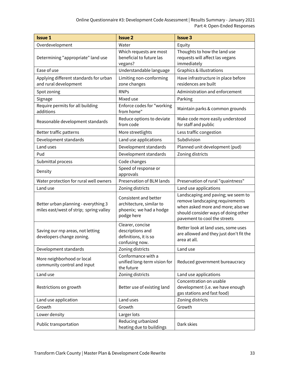| <b>Issue 1</b>                                                                  | <b>Issue 2</b>                                                                             | <b>Issue 3</b>                                                                                                                                                                    |
|---------------------------------------------------------------------------------|--------------------------------------------------------------------------------------------|-----------------------------------------------------------------------------------------------------------------------------------------------------------------------------------|
| Overdevelopment                                                                 | Water                                                                                      | Equity                                                                                                                                                                            |
| Determining "appropriate" land use                                              | Which requests are most<br>beneficial to future las<br>vegans?                             | Thoughts to how the land use<br>requests will affect las vegans<br>immediately                                                                                                    |
| Ease of use                                                                     | Understandable language                                                                    | Graphics & illustrations                                                                                                                                                          |
| Applying different standards for urban<br>and rural development                 | Limiting non-conforming<br>zone changes                                                    | Have infrastructure in place before<br>residences are built                                                                                                                       |
| Spot zoning                                                                     | <b>RNPs</b>                                                                                | Administration and enforcement                                                                                                                                                    |
| Signage                                                                         | Mixed use                                                                                  | Parking                                                                                                                                                                           |
| Require permits for all building<br>additions                                   | Enforce codes for "working<br>from home"                                                   | Maintain parks & common grounds                                                                                                                                                   |
| Reasonable development standards                                                | Reduce options to deviate<br>from code                                                     | Make code more easily understood<br>for staff and public                                                                                                                          |
| Better traffic patterns                                                         | More streetlights                                                                          | Less traffic congestion                                                                                                                                                           |
| Development standards                                                           | Land use applications                                                                      | Subdivision                                                                                                                                                                       |
| Land uses                                                                       | Development standards                                                                      | Planned unit development (pud)                                                                                                                                                    |
| Pud                                                                             | Development standards                                                                      | Zoning districts                                                                                                                                                                  |
| Submittal process                                                               | Code changes                                                                               |                                                                                                                                                                                   |
| Density                                                                         | Speed of response or<br>approvals                                                          |                                                                                                                                                                                   |
| Water protection for rural well owners                                          | Preservation of BLM lands                                                                  | Preservation of rural "quaintness"                                                                                                                                                |
| Land use                                                                        | Zoning districts                                                                           | Land use applications                                                                                                                                                             |
| Better urban planning - everything 3<br>miles east/west of strip; spring valley | Consistent and better<br>architecture, similar to<br>phoenix; we had a hodge<br>podge here | Landscaping and paving; we seem to<br>remove landscaping requirements<br>when asked more and more; also we<br>should consider ways of doing other<br>pavement to cool the streets |
| Saving our rnp areas, not letting<br>developers change zoning.                  | Clearer, concise<br>descriptions and<br>definitions, it is so<br>confusing now.            | Better look at land uses, some uses<br>are allowed and they just don't fit the<br>area at all.                                                                                    |
| Development standards                                                           | Zoning districts                                                                           | Land use                                                                                                                                                                          |
| More neighborhood or local<br>community control and input                       | Conformance with a<br>unified long-term vision for<br>the future                           | Reduced government bureaucracy                                                                                                                                                    |
| Land use                                                                        | Zoning districts                                                                           | Land use applications                                                                                                                                                             |
| Restrictions on growth                                                          | Better use of existing land                                                                | Concentration on usable<br>development (i.e. we have enough<br>gas stations and fast food)                                                                                        |
| Land use application                                                            | Land uses                                                                                  | Zoning districts                                                                                                                                                                  |
| Growth                                                                          | Growth                                                                                     | Growth                                                                                                                                                                            |
| Lower density                                                                   | Larger lots                                                                                |                                                                                                                                                                                   |
| Public transportation                                                           | Reducing urbanized<br>heating due to buildings                                             | Dark skies                                                                                                                                                                        |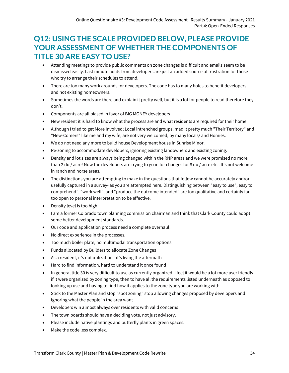## <span id="page-34-0"></span>**Q12: USING THE SCALE PROVIDED BELOW, PLEASE PROVIDE YOUR ASSESSMENT OF WHETHER THE COMPONENTS OF TITLE 30 ARE EASY TO USE?**

- Attending meetings to provide public comments on zone changes is difficult and emails seem to be dismissed easily. Last minute holds from developers are just an added source of frustration for those who try to arrange their schedules to attend.
- There are too many work arounds for developers. The code has to many holes to benefit developers and not existing homeowners.
- Sometimes the words are there and explain it pretty well, but it is a lot for people to read therefore they don't.
- Components are all biased in favor of BIG MONEY developers
- New resident it is hard to know what the process are and what residents are required for their home
- Although I tried to get More Involved; Local intrenched groups, mad it pretty much "Their Territory" and "New-Comers" like me and my wife, are not very welcomed, by many locals/ and Homies.
- We do not need any more to build house Development house in Sunrise Minor.
- Re-zoning to accommodate developers, ignoring existing landowners and existing zoning.
- Density and lot sizes are always being changed within the RNP areas and we were promised no more than 2 du / acre! Now the developers are trying to go in for changes for 8 du / acre etc.. It's not welcome in ranch and horse areas.
- The distinctions you are attempting to make in the questions that follow cannot be accurately and/or usefully captured in a survey- as you are attempted here. Distinguishing between "easy to use", easy to comprehend", "work well", and "produce the outcome intended" are too qualitative and certainly far too open to personal interpretation to be effective.
- Density level is too high
- I am a former Colorado town planning commission chairman and think that Clark County could adopt some better development standards.
- Our code and application process need a complete overhaul!
- No direct experience in the processes.
- Too much boiler plate, no multimodal transportation options
- Funds allocated by Builders to allocate Zone Changes
- As a resident, it's not utilization it's living the aftermath
- Hard to find information, hard to understand it once found
- In general title 30 is very difficult to use as currently organized. I feel it would be a lot more user friendly if it were organized by zoning type, then to have all the requirements listed underneath as opposed to looking up use and having to find how it applies to the zone type you are working with
- Stick to the Master Plan and stop "spot zoning" stop allowing changes proposed by developers and ignoring what the people in the area want
- Developers win almost always over residents with valid concerns
- The town boards should have a deciding vote, not just advisory.
- Please include native plantings and butterfly plants in green spaces.
- Make the code less complex.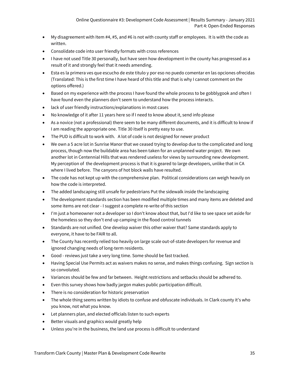- My disagreement with Item #4, #5, and #6 is not with county staff or employees. It is with the code as written.
- Consolidate code into user friendly formats with cross references
- I have not used Title 30 personally, but have seen how development in the county has progressed as a result of it and strongly feel that it needs amending.
- Esta es la primera ves que escucho de este titulo y por eso no puedo comentar en las opciones ofrecidas (Translated: This is the first time I have heard of this title and that is why I cannot comment on the options offered.)
- Based on my experience with the process I have found the whole process to be gobblygook and often I have found even the planners don't seem to understand how the process interacts.
- lack of user friendly instructions/explanations in most cases
- No knowledge of it after 11 years here so if I need to know about it, send info please
- As a novice (not a professional) there seem to be many different documents, and it is difficult to know if I am reading the appropriate one. Title 30 itself is pretty easy to use.
- The PUD is difficult to work with. A lot of code is not designed for newer product
- We own a 5 acre lot in Sunrise Manor that we ceased trying to develop due to the complicated and long process, though now the buildable area has been taken for an unplanned water project. We own another lot in Centennial Hills that was rendered useless for views by surrounding new development. My perception of the development process is that it is geared to large developers, unlike that in CA where I lived before. The canyons of hot block walls have resulted.
- The code has not kept up with the comprehensive plan. Political considerations can weigh heavily on how the code is interpreted.
- The added landscaping still unsafe for pedestrians Put the sidewalk inside the landscaping
- The development standards section has been modified multiple times and many items are deleted and some items are not clear - I suggest a complete re-write of this section
- I'm just a homeowner not a developer so I don't know about that, but I'd like to see space set aside for the homeless so they don't end up camping in the flood control tunnels
- Standards are not unified. One develop waiver this other waiver that? Same standards apply to everyone, it have to be FAIR to all.
- The County has recently relied too heavily on large scale out-of-state developers for revenue and ignored changing needs of long-term residents.
- Good reviews just take a very long time. Some should be fast tracked.
- Having Special Use Permits act as waivers makes no sense, and makes things confusing. Sign section is so convoluted.
- Variances should be few and far between. Height restrictions and setbacks should be adhered to.
- Even this survey shows how badly jargon makes public participation difficult.
- There is no consideration for historic preservation
- The whole thing seems written by idiots to confuse and obfuscate individuals. In Clark county it's who you know, not what you know.
- Let planners plan, and elected officials listen to such experts
- Better visuals and graphics would greatly help
- Unless you're in the business, the land use process is difficult to understand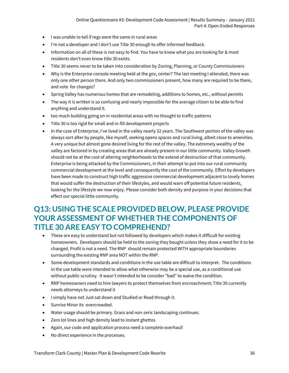- I was unable to tell if regs were the same in rural areas
- I'm not a developer and I don't use Title 30 enough to offer informed feedback.
- Information on all of these is not easy to find. You have to know what you are looking for & most residents don't even know title 30 exists.
- Title 30 seems never to be taken into consideration by Zoning, Planning, or County Commissioners
- Why is the Enterprise console meeting held at the gov, center? The last meeting I attended, there was only one other person there. And only two commissioners present, how many are required to be there, and vote for changes?
- Spring Valley has numerous homes that are remodeling, additions to homes, etc., without permits
- The way it is written is so confusing and nearly impossible for the average citizen to be able to find anything and understand it.
- too much building going on in residential areas with no thought to traffic patterns
- Title 30 is too rigid for small and in-fill development projects
- In the case of Enterprise, I've lived in the valley nearly 32 years. The Southwest portion of the valley was always sort after by people, like myself, seeking opens spaces and rural living, albeit close to amenities. A very unique but almost gone desired living for the rest of the valley. The extremely wealthy of the valley are factored in by creating areas that are already present in our little community. Valley Growth should not be at the cost of altering neighborhoods to the extend of destruction of that community. Enterprise is being attacked by the Commissioners, in their attempt to put into our rural community commercial development at the level and consequently the cost of the community. Effort by developers have been made to construct high traffic aggressive commercial development adjacent to lovely homes that would suffer the destruction of their lifestyles, and would warn off potential future residents, looking for the lifestyle we now enjoy. Please consider both density and purpose in your decisions that effect our special little community.

## <span id="page-36-0"></span>**Q13: USING THE SCALE PROVIDED BELOW, PLEASE PROVIDE YOUR ASSESSMENT OF WHETHER THE COMPONENTS OF TITLE 30 ARE EASY TO COMPREHEND?**

- These are easy to understand but not followed by developers which makes it difficult for existing homeowners. Developers should be held to the zoning they bought unless they show a need for it to be changed. Profit is not a need. The RNP should remain protected WITH appropriate boundaries surrounding the existing RNP area NOT within the RNP.
- Some development standards and conditions in the use table are difficult to interpret. The conditions in the use table were intended to allow what otherwise may be a special use, as a conditional use without public scrutiny. It wasn't intended to be consider "bad" to waive the condition.
- RNP homeowners need to hire lawyers to protect themselves from encroachment; Title 30 currently needs attorneys to understand it
- I simply have not Just sat down and Studied or Read through it.
- Sunrise Minor its overcrowded.
- Water usage should be primary. Grass and non-zeric landscaping continues.
- Zero lot lines and high density lead to instant ghettos
- Again, our code and application process need a complete overhaul!
- No direct experience in the processes.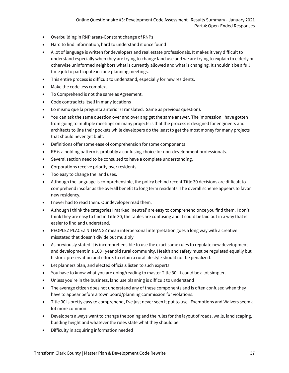- Overbuilding in RNP areas-Constant change of RNPs
- Hard to find information, hard to understand it once found
- A lot of language is written for developers and real estate professionals. It makes it very difficult to understand especially when they are trying to change land use and we are trying to explain to elderly or otherwise uninformed neighbors what is currently allowed and what is changing. It shouldn't be a full time job to participate in zone planning meetings.
- This entire process is difficult to understand, especially for new residents.
- Make the code less complex.
- To Comprehend is not the same as Agreement.
- Code contradicts itself in many locations
- Lo mismo que la pregunta anterior (Translated: Same as previous question).
- You can ask the same question over and over ang get the same answer. The impression I have gotten from going to multiple meetings on many projects is that the process is designed for engineers and architects to line their pockets while developers do the least to get the most money for many projects that should never get built.
- Definitions offer some ease of comprehension for some components
- RE is a holding pattern is probably a confusing choice for non-development professionals.
- Several section need to be consulted to have a complete understanding.
- Corporations receive priority over residents
- Too easy to change the land uses.
- Although the language is comprehensible, the policy behind recent Title 30 decisions are difficult to comprehend insofar as the overall benefit to long term residents. The overall scheme appears to favor new residency.
- I never had to read them. Our developer read them.
- Although I think the categories I marked 'neutral' are easy to comprehend once you find them, I don't think they are easy to find in Title 30, the tables are confusing and it could be laid out in a way that is easier to find and understand.
- PEOPLEZ PLACEZ N THANGZ mean interpersonal interpretation goes a long way with a creative misstated that doesn't divide but multiply
- As previously stated it is incomprehensible to use the exact same rules to regulate new development and development in a 100+ year old rural community. Health and safety must be regulated equally but historic preservation and efforts to retain a rural lifestyle should not be penalized.
- Let planners plan, and elected officials listen to such experts
- You have to know what you are doing/reading to master Title 30. It could be a lot simpler.
- Unless you're in the business, land use planning is difficult to understand
- The average citizen does not understand any of these components and is often confused when they have to appear before a town board/planning commission for violations.
- Title 30 is pretty easy to comprehend, I've just never seen it put to use. Exemptions and Waivers seem a lot more common.
- Developers always want to change the zoning and the rules for the layout of roads, walls, land scaping, building height and whatever the rules state what they should be.
- Difficulty in acquiring information needed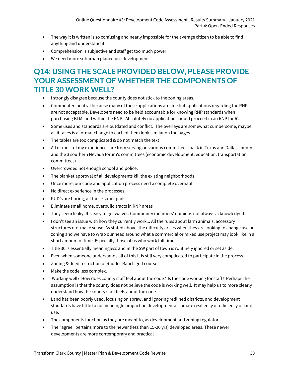- The way it is written is so confusing and nearly impossible for the average citizen to be able to find anything and understand it.
- Comprehension is subjective and staff get too much power
- We need more suburban planed use development

## <span id="page-38-0"></span>**Q14: USING THE SCALE PROVIDED BELOW, PLEASE PROVIDE YOUR ASSESSMENT OF WHETHER THE COMPONENTS OF TITLE 30 WORK WELL?**

- I strongly disagree because the county does not stick to the zoning areas.
- Commented neutral because many of these applications are fine but applications regarding the RNP are not acceptable. Developers need to be held accountable for knowing RNP standards when purchasing BLM land within the RNP. Absolutely no application should proceed in an RNP for R2.
- Some uses and standards are outdated and conflict. The overlays are somewhat cumbersome, maybe all it takes is a format change to each of them look similar on the pages
- The tables are too complicated & do not match the text
- All or most of my experiences are from serving on various committees, back in Texas and Dallas county and the 3 southern Nevada forum's committees (economic development, education, transportation committees)
- Overcrowded not enough school and police.
- The blanket approval of all developments kill the existing neighborhoods
- Once more, our code and application process need a complete overhaul!
- No direct experience in the processes.
- PUD's are boring, all those super pads!
- Eliminate small home, overbuild tracts in RNP areas
- They seem leaky. It's easy to get waiver. Community members' opinions not always acknowledged.
- I don't see an issue with how they currently work... All the rules about farm animals, accessory structures etc. make sense. As stated above, the difficulty arises when they are looking to change use or zoning and we have to wrap our head around what a commercial or mixed use project may look like in a short amount of time. Especially those of us who work full time.
- Title 30 is essentially meaningless and in the SW part of town is routinely ignored or set aside.
- Even when someone understands all of this it is still very complicated to participate in the process.
- Zoning & deed restriction of Rhodes Ranch golf course.
- Make the code less complex.
- Working well? How does county staff feel about the code? Is the code working for staff? Perhaps the assumption is that the county does not believe the code is working well. It may help us to more clearly understand how the county staff feels about the code.
- Land has been poorly used, focusing on sprawl and ignoring redlined districts, and development standards have little to no meaningful impact on developmental climate resiliency or efficiency of land use.
- The components function as they are meant to, as development and zoning regulators
- The "agree" pertains more to the newer (less than 15-20 yrs) developed areas. These newer developments are more contemporary and practical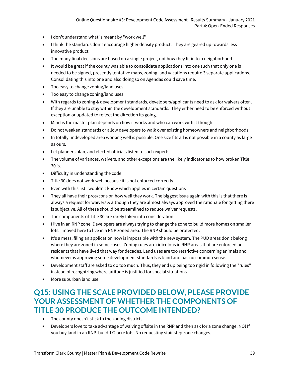- I don't understand what is meant by "work well"
- I think the standards don't encourage higher density product. They are geared up towards less innovative product
- Too many final decisions are based on a single project, not how they fit in to a neighborhood.
- It would be great if the county was able to consolidate applications into one such that only one is needed to be signed, presently tentative maps, zoning, and vacations require 3 separate applications. Consolidating this into one and also doing so on Agendas could save time.
- Too easy to change zoning/land uses
- Too easy to change zoning/land uses
- With regards to zoning & development standards, developers/applicants need to ask for waivers often. If they are unable to stay within the development standards. They either need to be enforced without exception or updated to reflect the direction its going.
- Mind is the master plan depends on how it works and who can work with it though.
- Do not weaken standards or allow developers to walk over existing homeowners and neighborhoods.
- In totally undeveloped area working well is possible. One size fits all is not possible in a county as large as ours.
- Let planners plan, and elected officials listen to such experts
- The volume of variances, waivers, and other exceptions are the likely indicator as to how broken Title 30 is.
- Difficulty in understanding the code
- Title 30 does not work well because it is not enforced correctly
- Even with this list I wouldn't know which applies in certain questions
- They all have their pros/cons on how well they work. The biggest issue again with this is that there is always a request for waivers & although they are almost always approved the rationale for getting there is subjective. All of these should be streamlined to reduce waiver requests.
- The components of Title 30 are rarely taken into consideration.
- I live in an RNP zone. Developers are always trying to change the zone to build more homes on smaller lots. I moved here to live in a RNP zoned area. The RNP should be protected.
- It's a mess, filing an application now is impossible with the new system. The PUD areas don't belong where they are zoned in some cases. Zoning rules are ridiculous in RNP areas that are enforced on residents that have lived that way for decades. Land uses are too restrictive concerning animals and whomever is approving some development standards is blind and has no common sense..
- Development staff are asked to do too much. Thus, they end up being too rigid in following the "rules" instead of recognizing where latitude is justified for special situations.
- More suburban land use

## <span id="page-39-0"></span>**Q15: USING THE SCALE PROVIDED BELOW, PLEASE PROVIDE YOUR ASSESSMENT OF WHETHER THE COMPONENTS OF TITLE 30 PRODUCE THE OUTCOME INTENDED?**

- The county doesn't stick to the zoning districts
- Developers love to take advantage of waiving offsite in the RNP and then ask for a zone change. NO! If you buy land in an RNP build 1/2 acre lots. No requesting stair step zone changes.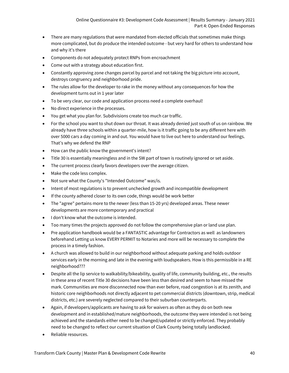- There are many regulations that were mandated from elected officials that sometimes make things more complicated, but do produce the intended outcome - but very hard for others to understand how and why it's there
- Components do not adequately protect RNPs from encroachment
- Come out with a strategy about education first.
- Constantly approving zone changes parcel by parcel and not taking the big picture into account, destroys congruency and neighborhood pride.
- The rules allow for the developer to rake in the money without any consequences for how the development turns out in 1 year later
- To be very clear, our code and application process need a complete overhaul!
- No direct experience in the processes.
- You get what you plan for. Subdivisions create too much car traffic.
- For the school you want to shut down our throat. It was already denied just south of us on rainbow. We already have three schools within a quarter-mile, how is it traffic going to be any different here with over 5000 cars a day coming in and out. You would have to live out here to understand our feelings. That's why we defend the RNP
- How can the public know the government's intent?
- Title 30 is essentially meaningless and in the SW part of town is routinely ignored or set aside.
- The current process clearly favors developers over the average citizen.
- Make the code less complex.
- Not sure what the County's "Intended Outcome" was/is.
- Intent of most regulations is to prevent unchecked growth and incompatible development
- If the county adhered closer to its own code, things would be work better
- The "agree" pertains more to the newer (less than 15-20 yrs) developed areas. These newer developments are more contemporary and practical
- I don't know what the outcome is intended.
- Too many times the projects approved do not follow the comprehensive plan or land use plan.
- Pre application handbook would be a FANTASTIC advantage for Contractors as well as landowners beforehand Letting us know EVERY PERMIT to Notaries and more will be necessary to complete the process in a timely fashion.
- A church was allowed to build in our neighborhood without adequate parking and holds outdoor services early in the morning and late in the evening with loudspeakers. How is this permissible in a RE neighborhood???
- Despite all the lip service to walkability/bikeability, quality of life, community building, etc., the results in these area of recent Title 30 decisions have been less than desired and seem to have missed the mark. Communities are more disconnected now than ever before, road congestion is at its zenith, and historic core neighborhoods not directly adjacent to pet commercial districts (downtown, strip, medical districts, etc.) are severely neglected compared to their suburban counterparts.
- Again, if developers/applicants are having to ask for waivers as often as they do on both new development and in established/mature neighborhoods, the outcome they were intended is not being achieved and the standards either need to be changed/updated or strictly enforced. They probably need to be changed to reflect our current situation of Clark County being totally landlocked.
- Reliable resources.